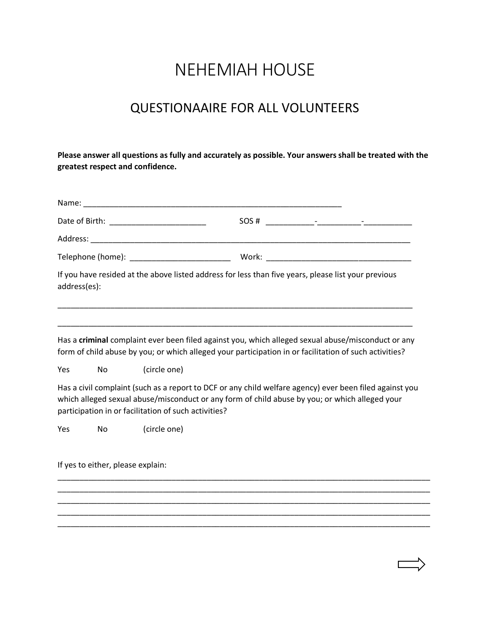## NEHEMIAH HOUSE

## QUESTIONAAIRE FOR ALL VOLUNTEERS

**Please answer all questions as fully and accurately as possible. Your answers shall be treated with the greatest respect and confidence.** 

|              |                                   |                                                      | $SOS #$ $-$                                                                                                                                                                                                  |
|--------------|-----------------------------------|------------------------------------------------------|--------------------------------------------------------------------------------------------------------------------------------------------------------------------------------------------------------------|
|              |                                   |                                                      |                                                                                                                                                                                                              |
|              |                                   |                                                      |                                                                                                                                                                                                              |
| address(es): |                                   |                                                      | If you have resided at the above listed address for less than five years, please list your previous                                                                                                          |
|              |                                   |                                                      | Has a criminal complaint ever been filed against you, which alleged sexual abuse/misconduct or any<br>form of child abuse by you; or which alleged your participation in or facilitation of such activities? |
| Yes          | No                                | (circle one)                                         |                                                                                                                                                                                                              |
|              |                                   | participation in or facilitation of such activities? | Has a civil complaint (such as a report to DCF or any child welfare agency) ever been filed against you<br>which alleged sexual abuse/misconduct or any form of child abuse by you; or which alleged your    |
| Yes          | No                                | (circle one)                                         |                                                                                                                                                                                                              |
|              | If yes to either, please explain: |                                                      |                                                                                                                                                                                                              |
|              |                                   |                                                      |                                                                                                                                                                                                              |
|              |                                   |                                                      |                                                                                                                                                                                                              |
|              |                                   |                                                      |                                                                                                                                                                                                              |
|              |                                   |                                                      |                                                                                                                                                                                                              |